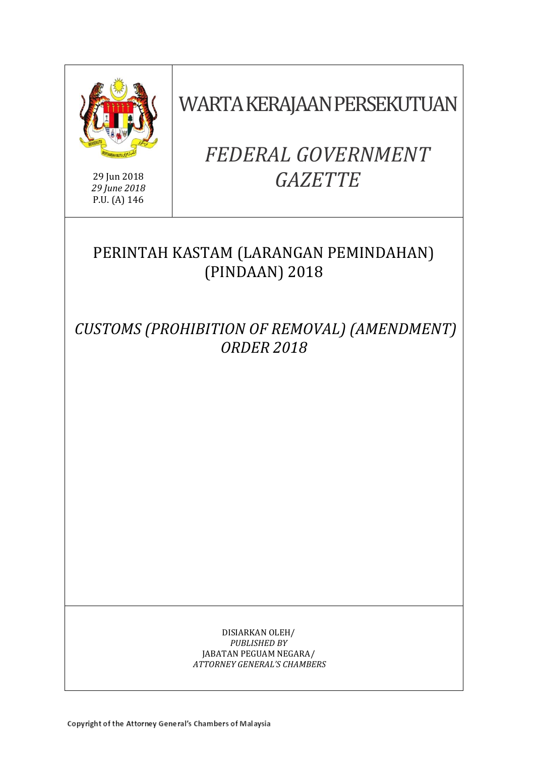

29 Jun 2018 *29 June 2018* P.U. (A) 146

WARTA KERAJAAN PERSEKUTUAN

# *FEDERAL GOVERNMENT GAZETTE*

# PERINTAH KASTAM (LARANGAN PEMINDAHAN) (PINDAAN) 2018

*CUSTOMS (PROHIBITION OF REMOVAL) (AMENDMENT) ORDER 2018*

> DISIARKAN OLEH/ *PUBLISHED BY* JABATAN PEGUAM NEGARA/ *ATTORNEY GENERAL'S CHAMBERS*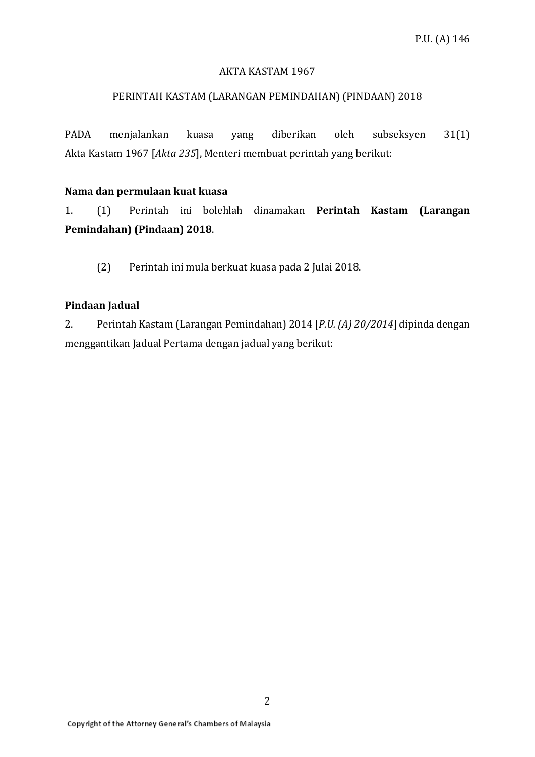#### AKTA KASTAM 1967

#### PERINTAH KASTAM (LARANGAN PEMINDAHAN) (PINDAAN) 2018

PADA menjalankan kuasa yang diberikan oleh subseksyen 31(1) Akta Kastam 1967 [*Akta 235*], Menteri membuat perintah yang berikut:

#### **Nama dan permulaan kuat kuasa**

1. (1) Perintah ini bolehlah dinamakan **Perintah Kastam (Larangan Pemindahan) (Pindaan) 2018**.

(2) Perintah ini mula berkuat kuasa pada 2 Julai 2018.

#### **Pindaan Jadual**

2. Perintah Kastam (Larangan Pemindahan) 2014 [*P.U. (A) 20/2014*] dipinda dengan menggantikan Jadual Pertama dengan jadual yang berikut: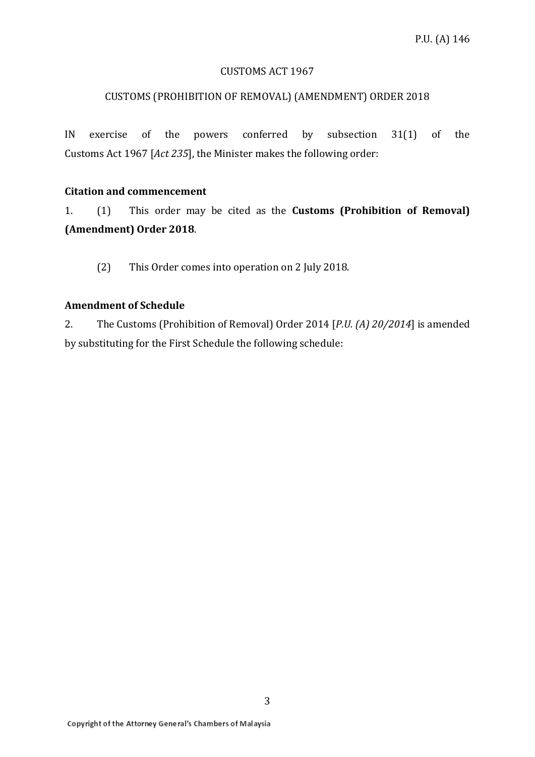#### CUSTOMS ACT 1967

#### CUSTOMS (PROHIBITION OF REMOVAL) (AMENDMENT) ORDER 2018

IN exercise of the powers conferred by subsection 31(1) of the Customs Act 1967 [*Act 235*], the Minister makes the following order:

#### **Citation and commencement**

1. (1) This order may be cited as the **Customs (Prohibition of Removal) (Amendment) Order 2018**.

(2) This Order comes into operation on 2 July 2018.

#### **Amendment of Schedule**

2. The Customs (Prohibition of Removal) Order 2014 [*P.U. (A) 20/2014*] is amended by substituting for the First Schedule the following schedule: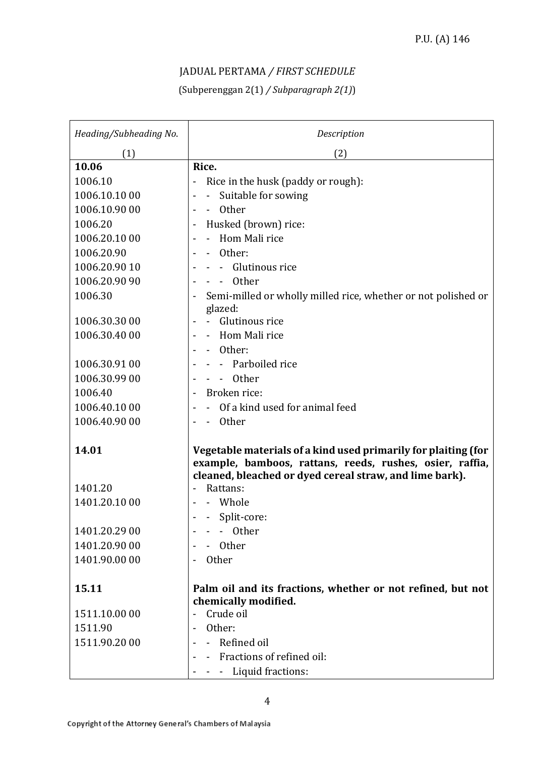### JADUAL PERTAMA */ FIRST SCHEDULE*

## (Subperenggan 2(1) */ Subparagraph 2(1)*)

| Heading/Subheading No. | Description                                                              |
|------------------------|--------------------------------------------------------------------------|
| (1)                    | (2)                                                                      |
| 10.06                  | Rice.                                                                    |
| 1006.10                | Rice in the husk (paddy or rough):                                       |
| 1006.10.10 00          | Suitable for sowing                                                      |
| 1006.10.90 00          | - Other                                                                  |
| 1006.20                | Husked (brown) rice:                                                     |
| 1006.20.10 00          | - Hom Mali rice                                                          |
| 1006.20.90             | Other:                                                                   |
| 1006.20.90 10          | Glutinous rice                                                           |
| 1006.20.90 90          | Other                                                                    |
| 1006.30                | Semi-milled or wholly milled rice, whether or not polished or<br>glazed: |
| 1006.30.30 00          | Glutinous rice                                                           |
| 1006.30.40 00          | Hom Mali rice                                                            |
|                        | Other:                                                                   |
| 1006.30.91 00          | - Parboiled rice                                                         |
| 1006.30.99 00          | <b>Other</b>                                                             |
| 1006.40                | Broken rice:                                                             |
| 1006.40.1000           | Of a kind used for animal feed                                           |
| 1006.40.90 00          | Other                                                                    |
|                        |                                                                          |
| 14.01                  | Vegetable materials of a kind used primarily for plaiting (for           |
|                        | example, bamboos, rattans, reeds, rushes, osier, raffia,                 |
| 1401.20                | cleaned, bleached or dyed cereal straw, and lime bark).<br>Rattans:      |
| 1401.20.10 00          | Whole                                                                    |
|                        | Split-core:                                                              |
| 1401.20.29 00          | Other                                                                    |
| 1401.20.90 00          | Other                                                                    |
| 1401.90.00 00          | <b>Other</b>                                                             |
|                        |                                                                          |
| 15.11                  | Palm oil and its fractions, whether or not refined, but not              |
|                        | chemically modified.                                                     |
| 1511.10.00 00          | Crude oil                                                                |
| 1511.90                | Other:                                                                   |
| 1511.90.20 00          | - Refined oil                                                            |
|                        | Fractions of refined oil:                                                |
|                        | Liquid fractions:                                                        |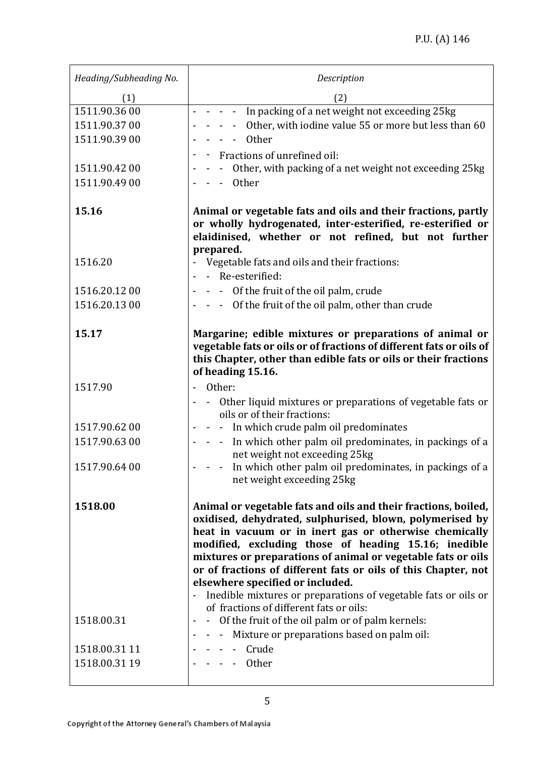| Heading/Subheading No. | Description                                                                                                                                                                                                                                                                                                                                                                                                                                                                          |
|------------------------|--------------------------------------------------------------------------------------------------------------------------------------------------------------------------------------------------------------------------------------------------------------------------------------------------------------------------------------------------------------------------------------------------------------------------------------------------------------------------------------|
| (1)                    | (2)                                                                                                                                                                                                                                                                                                                                                                                                                                                                                  |
| 1511.90.36 00          | - - - - In packing of a net weight not exceeding 25kg                                                                                                                                                                                                                                                                                                                                                                                                                                |
| 1511.90.37 00          | - - Other, with iodine value 55 or more but less than 60                                                                                                                                                                                                                                                                                                                                                                                                                             |
| 1511.90.39 00          | $- -$ 0ther                                                                                                                                                                                                                                                                                                                                                                                                                                                                          |
|                        | Fractions of unrefined oil:                                                                                                                                                                                                                                                                                                                                                                                                                                                          |
| 1511.90.42 00          | - Other, with packing of a net weight not exceeding 25kg                                                                                                                                                                                                                                                                                                                                                                                                                             |
| 1511.90.49 00          | - - Other                                                                                                                                                                                                                                                                                                                                                                                                                                                                            |
|                        |                                                                                                                                                                                                                                                                                                                                                                                                                                                                                      |
| 15.16                  | Animal or vegetable fats and oils and their fractions, partly<br>or wholly hydrogenated, inter-esterified, re-esterified or<br>elaidinised, whether or not refined, but not further<br>prepared.                                                                                                                                                                                                                                                                                     |
| 1516.20                | - Vegetable fats and oils and their fractions:                                                                                                                                                                                                                                                                                                                                                                                                                                       |
|                        | - Re-esterified:                                                                                                                                                                                                                                                                                                                                                                                                                                                                     |
| 1516.20.12 00          | - - Of the fruit of the oil palm, crude                                                                                                                                                                                                                                                                                                                                                                                                                                              |
| 1516.20.13 00          | - - Of the fruit of the oil palm, other than crude                                                                                                                                                                                                                                                                                                                                                                                                                                   |
|                        |                                                                                                                                                                                                                                                                                                                                                                                                                                                                                      |
| 15.17                  | Margarine; edible mixtures or preparations of animal or<br>vegetable fats or oils or of fractions of different fats or oils of<br>this Chapter, other than edible fats or oils or their fractions<br>of heading 15.16.                                                                                                                                                                                                                                                               |
| 1517.90                | Other:                                                                                                                                                                                                                                                                                                                                                                                                                                                                               |
|                        | - Other liquid mixtures or preparations of vegetable fats or                                                                                                                                                                                                                                                                                                                                                                                                                         |
|                        | oils or of their fractions:                                                                                                                                                                                                                                                                                                                                                                                                                                                          |
| 1517.90.62 00          | - In which crude palm oil predominates                                                                                                                                                                                                                                                                                                                                                                                                                                               |
| 1517.90.63 00          | - - In which other palm oil predominates, in packings of a<br>net weight not exceeding 25kg                                                                                                                                                                                                                                                                                                                                                                                          |
| 1517.90.64 00          | In which other palm oil predominates, in packings of a<br>net weight exceeding 25kg                                                                                                                                                                                                                                                                                                                                                                                                  |
| 1518.00                | Animal or vegetable fats and oils and their fractions, boiled,<br>oxidised, dehydrated, sulphurised, blown, polymerised by<br>heat in vacuum or in inert gas or otherwise chemically<br>modified, excluding those of heading 15.16; inedible<br>mixtures or preparations of animal or vegetable fats or oils<br>or of fractions of different fats or oils of this Chapter, not<br>elsewhere specified or included.<br>Inedible mixtures or preparations of vegetable fats or oils or |
|                        | of fractions of different fats or oils:                                                                                                                                                                                                                                                                                                                                                                                                                                              |
| 1518.00.31             | - Of the fruit of the oil palm or of palm kernels:                                                                                                                                                                                                                                                                                                                                                                                                                                   |
|                        | - - - Mixture or preparations based on palm oil:                                                                                                                                                                                                                                                                                                                                                                                                                                     |
| 1518.00.31 11          | - - - Crude                                                                                                                                                                                                                                                                                                                                                                                                                                                                          |
| 1518.00.31 19          | $- - -$ Other                                                                                                                                                                                                                                                                                                                                                                                                                                                                        |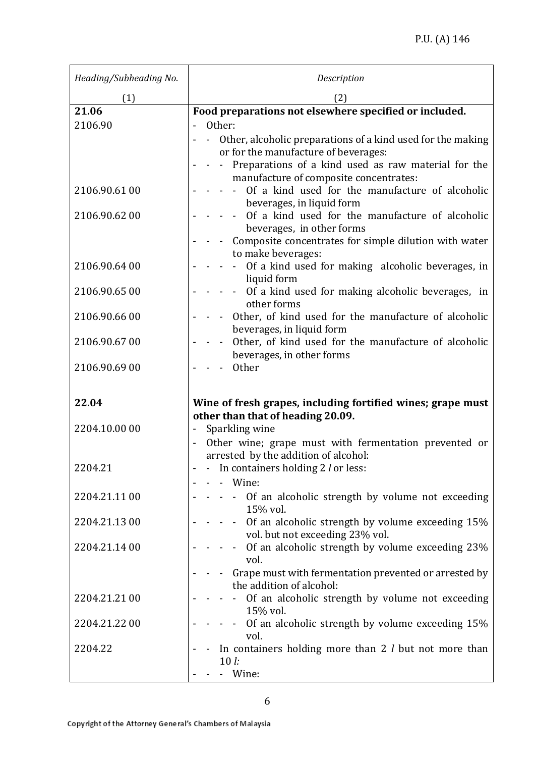| Heading/Subheading No. | Description                                                                                 |
|------------------------|---------------------------------------------------------------------------------------------|
| (1)                    | (2)                                                                                         |
| 21.06                  | Food preparations not elsewhere specified or included.                                      |
| 2106.90                | Other:                                                                                      |
|                        | Other, alcoholic preparations of a kind used for the making<br>$\sim$ $-$                   |
|                        | or for the manufacture of beverages:<br>Preparations of a kind used as raw material for the |
|                        | manufacture of composite concentrates:                                                      |
| 2106.90.61 00          | Of a kind used for the manufacture of alcoholic                                             |
|                        | beverages, in liquid form                                                                   |
| 2106.90.62 00          | Of a kind used for the manufacture of alcoholic                                             |
|                        | beverages, in other forms<br>- Composite concentrates for simple dilution with water        |
|                        | to make beverages:                                                                          |
| 2106.90.64 00          | Of a kind used for making alcoholic beverages, in                                           |
|                        | liquid form                                                                                 |
| 2106.90.65 00          | - Of a kind used for making alcoholic beverages, in                                         |
|                        | other forms                                                                                 |
| 2106.90.66 00          | Other, of kind used for the manufacture of alcoholic<br>beverages, in liquid form           |
| 2106.90.67 00          | Other, of kind used for the manufacture of alcoholic                                        |
|                        | beverages, in other forms                                                                   |
| 2106.90.69 00          | <b>Other</b>                                                                                |
|                        |                                                                                             |
| 22.04                  | Wine of fresh grapes, including fortified wines; grape must                                 |
|                        | other than that of heading 20.09.                                                           |
| 2204.10.00 00          | Sparkling wine<br>$\overline{\phantom{0}}$                                                  |
|                        | Other wine; grape must with fermentation prevented or                                       |
|                        | arrested by the addition of alcohol:                                                        |
| 2204.21                | - - In containers holding 2 <i>l</i> or less:                                               |
|                        | Wine:                                                                                       |
| 2204.21.11 00          | Of an alcoholic strength by volume not exceeding<br>15% vol.                                |
| 2204.21.13 00          | Of an alcoholic strength by volume exceeding 15%                                            |
|                        | vol. but not exceeding 23% vol.                                                             |
| 2204.21.14 00          | Of an alcoholic strength by volume exceeding 23%<br>$\sim 10$                               |
|                        | vol.                                                                                        |
|                        | Grape must with fermentation prevented or arrested by<br>the addition of alcohol:           |
| 2204.21.21 00          | Of an alcoholic strength by volume not exceeding                                            |
|                        | 15% vol.                                                                                    |
| 2204.21.22 00          | - - Of an alcoholic strength by volume exceeding 15%                                        |
|                        | vol.                                                                                        |
| 2204.22                | In containers holding more than $2$ l but not more than                                     |
|                        | $10l$ :<br>- Wine:                                                                          |
|                        |                                                                                             |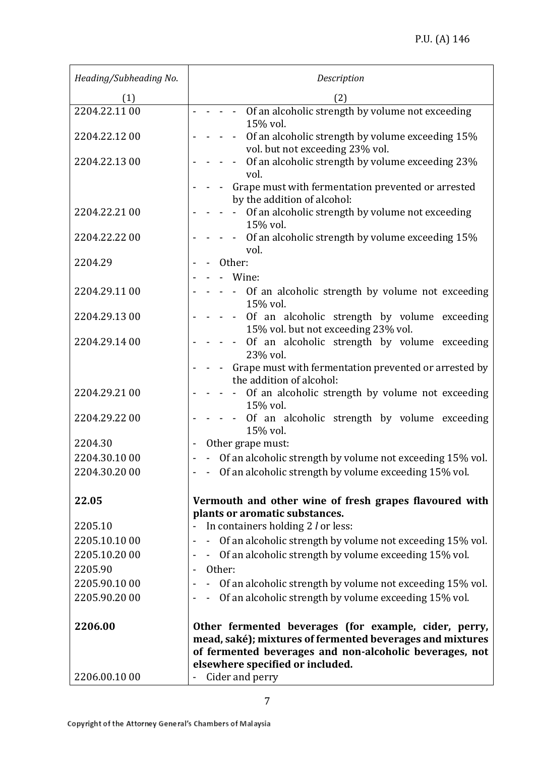| Heading/Subheading No. | Description                                                                                                                                                                                                       |
|------------------------|-------------------------------------------------------------------------------------------------------------------------------------------------------------------------------------------------------------------|
| (1)                    | (2)                                                                                                                                                                                                               |
| 2204.22.11 00          | - - - Of an alcoholic strength by volume not exceeding<br>15% vol.                                                                                                                                                |
| 2204.22.12 00          | Of an alcoholic strength by volume exceeding 15%<br>vol. but not exceeding 23% vol.                                                                                                                               |
| 2204.22.13 00          | Of an alcoholic strength by volume exceeding 23%<br>$\blacksquare$<br>vol.                                                                                                                                        |
|                        | Grape must with fermentation prevented or arrested<br>by the addition of alcohol:                                                                                                                                 |
| 2204.22.21 00          | Of an alcoholic strength by volume not exceeding<br>15% vol.                                                                                                                                                      |
| 2204.22.22 00          | Of an alcoholic strength by volume exceeding 15%<br>$\blacksquare$<br>vol.                                                                                                                                        |
| 2204.29                | Other:                                                                                                                                                                                                            |
|                        | - Wine:                                                                                                                                                                                                           |
| 2204.29.11 00          | - - Of an alcoholic strength by volume not exceeding<br>15% vol.                                                                                                                                                  |
| 2204.29.13 00          | Of an alcoholic strength by volume exceeding<br>$\sim 10^{-1}$ m $^{-1}$<br>15% vol. but not exceeding 23% vol.                                                                                                   |
| 2204.29.14 00          | Of an alcoholic strength by volume exceeding<br>23% vol.                                                                                                                                                          |
|                        | Grape must with fermentation prevented or arrested by<br>the addition of alcohol:                                                                                                                                 |
| 2204.29.21 00          | - Of an alcoholic strength by volume not exceeding<br>15% vol.                                                                                                                                                    |
| 2204.29.22 00          | Of an alcoholic strength by volume exceeding<br>15% vol.                                                                                                                                                          |
| 2204.30                | Other grape must:                                                                                                                                                                                                 |
| 2204.30.1000           | Of an alcoholic strength by volume not exceeding 15% vol.                                                                                                                                                         |
| 2204.30.20 00          | - Of an alcoholic strength by volume exceeding 15% vol.                                                                                                                                                           |
| 22.05                  | Vermouth and other wine of fresh grapes flavoured with                                                                                                                                                            |
|                        | plants or aromatic substances.                                                                                                                                                                                    |
| 2205.10                | In containers holding 2 <i>l</i> or less:                                                                                                                                                                         |
| 2205.10.10 00          | Of an alcoholic strength by volume not exceeding 15% vol.                                                                                                                                                         |
| 2205.10.20 00          | - Of an alcoholic strength by volume exceeding 15% vol.                                                                                                                                                           |
| 2205.90                | Other:                                                                                                                                                                                                            |
| 2205.90.10 00          | Of an alcoholic strength by volume not exceeding 15% vol.                                                                                                                                                         |
| 2205.90.20 00          | - Of an alcoholic strength by volume exceeding 15% vol.                                                                                                                                                           |
| 2206.00                | Other fermented beverages (for example, cider, perry,<br>mead, saké); mixtures of fermented beverages and mixtures<br>of fermented beverages and non-alcoholic beverages, not<br>elsewhere specified or included. |
| 2206.00.10 00          | Cider and perry                                                                                                                                                                                                   |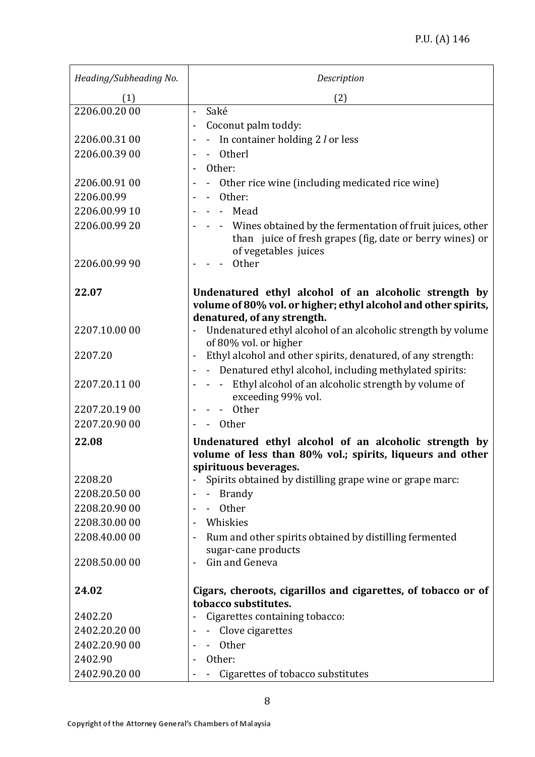| Heading/Subheading No. | Description                                                                                                                                                            |
|------------------------|------------------------------------------------------------------------------------------------------------------------------------------------------------------------|
| (1)                    | (2)                                                                                                                                                                    |
| 2206.00.20 00          | Saké<br>$\overline{\phantom{a}}$                                                                                                                                       |
|                        | Coconut palm toddy:                                                                                                                                                    |
| 2206.00.31 00          | - In container holding $2$ l or less                                                                                                                                   |
| 2206.00.39 00          | - Otherl                                                                                                                                                               |
|                        | Other:                                                                                                                                                                 |
| 2206.00.91 00          | Other rice wine (including medicated rice wine)                                                                                                                        |
| 2206.00.99             | Other:                                                                                                                                                                 |
| 2206.00.99 10          | - Mead                                                                                                                                                                 |
| 2206.00.99 20          | - Wines obtained by the fermentation of fruit juices, other<br>than juice of fresh grapes (fig, date or berry wines) or<br>of vegetables juices                        |
| 2206.00.99 90          | Other                                                                                                                                                                  |
| 22.07                  | Undenatured ethyl alcohol of an alcoholic strength by<br>volume of 80% vol. or higher; ethyl alcohol and other spirits,<br>denatured, of any strength.                 |
| 2207.10.00 00          | - Undenatured ethyl alcohol of an alcoholic strength by volume<br>of 80% vol. or higher                                                                                |
| 2207.20                | Ethyl alcohol and other spirits, denatured, of any strength:<br>$\blacksquare$<br>- Denatured ethyl alcohol, including methylated spirits:<br>$\overline{\phantom{a}}$ |
| 2207.20.11 00          | Ethyl alcohol of an alcoholic strength by volume of<br>$\sim$ $-$<br>exceeding 99% vol.                                                                                |
| 2207.20.19 00          | - Other                                                                                                                                                                |
| 2207.20.90 00          | Other                                                                                                                                                                  |
| 22.08                  | Undenatured ethyl alcohol of an alcoholic strength by                                                                                                                  |
|                        | volume of less than 80% vol.; spirits, liqueurs and other                                                                                                              |
|                        | spirituous beverages.                                                                                                                                                  |
| 2208.20                | Spirits obtained by distilling grape wine or grape marc:                                                                                                               |
| 2208.20.50 00          | <b>Brandy</b>                                                                                                                                                          |
| 2208.20.90 00          | <b>Other</b>                                                                                                                                                           |
| 2208.30.00 00          | Whiskies                                                                                                                                                               |
| 2208.40.00 00          | Rum and other spirits obtained by distilling fermented<br>sugar-cane products                                                                                          |
| 2208.50.00 00          | Gin and Geneva                                                                                                                                                         |
| 24.02                  | Cigars, cheroots, cigarillos and cigarettes, of tobacco or of<br>tobacco substitutes.                                                                                  |
| 2402.20                | Cigarettes containing tobacco:                                                                                                                                         |
| 2402.20.20 00          | - Clove cigarettes                                                                                                                                                     |
| 2402.20.90 00          | Other                                                                                                                                                                  |
| 2402.90                | Other:                                                                                                                                                                 |
| 2402.90.20 00          | Cigarettes of tobacco substitutes                                                                                                                                      |